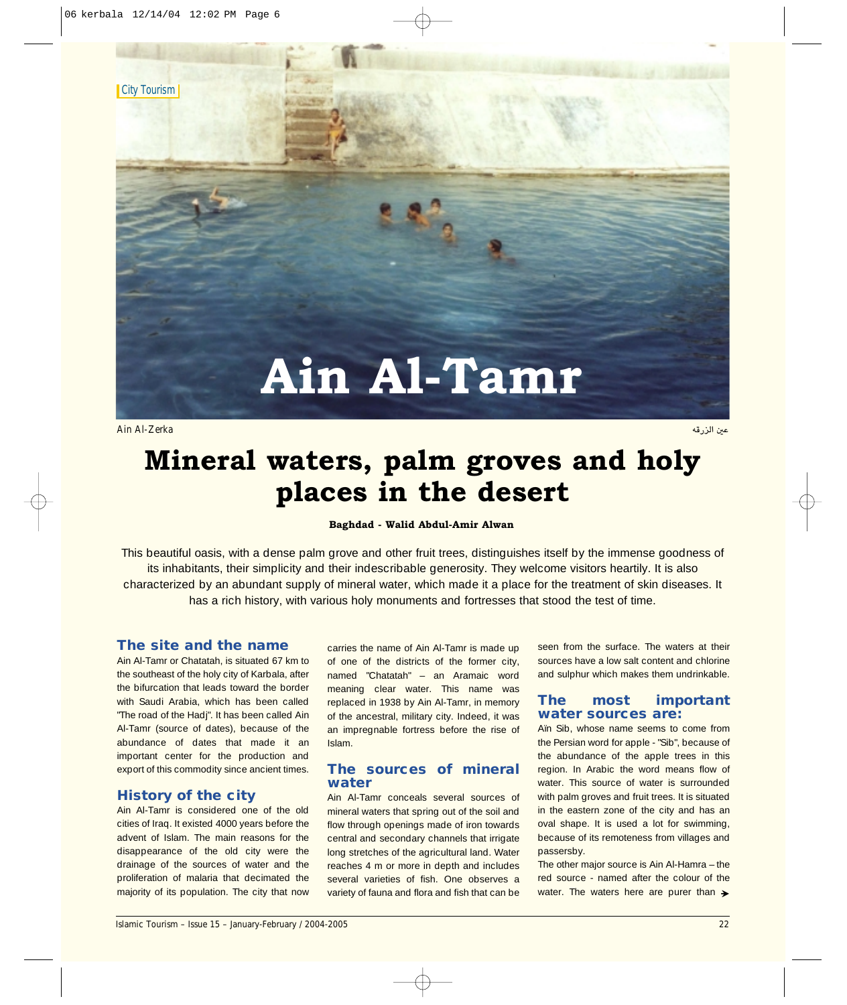**City Tourism** 

# **Ain Al-Tamr**

مين الزرقة المستقل المستقل المستقل المستقل المستقل المستقل المستقل المستقل المستقل المستقل المستقل المستقل الم<br>وقال المستقل المستقل المستقل المستقل المستقل المستقل المستقل المستقل المستقل المستقل المستقل المستقل المستقل ا

# **Mineral waters, palm groves and holy places in the desert**

#### **Baghdad - Walid Abdul-Amir Alwan**

This beautiful oasis, with a dense palm grove and other fruit trees, distinguishes itself by the immense goodness of its inhabitants, their simplicity and their indescribable generosity. They welcome visitors heartily. It is also characterized by an abundant supply of mineral water, which made it a place for the treatment of skin diseases. It has a rich history, with various holy monuments and fortresses that stood the test of time.

## **The site and the name**

Ain Al-Tamr or Chatatah, is situated 67 km to the southeast of the holy city of Karbala, after the bifurcation that leads toward the border with Saudi Arabia, which has been called "The road of the Hadj". It has been called Ain Al-Tamr (source of dates), because of the abundance of dates that made it an important center for the production and export of this commodity since ancient times.

### **History of the city**

Ain Al-Tamr is considered one of the old cities of Iraq. It existed 4000 years before the advent of Islam. The main reasons for the disappearance of the old city were the drainage of the sources of water and the proliferation of malaria that decimated the majority of its population. The city that now

carries the name of Ain Al-Tamr is made up of one of the districts of the former city, named "Chatatah" – an Aramaic word meaning clear water. This name was replaced in 1938 by Ain Al-Tamr, in memory of the ancestral, military city. Indeed, it was an impregnable fortress before the rise of Islam.

# **The sources of mineral water**

Ain Al-Tamr conceals several sources of mineral waters that spring out of the soil and flow through openings made of iron towards central and secondary channels that irrigate long stretches of the agricultural land. Water reaches 4 m or more in depth and includes several varieties of fish. One observes a variety of fauna and flora and fish that can be

seen from the surface. The waters at their sources have a low salt content and chlorine and sulphur which makes them undrinkable.

## **The most important water sources are:**

Aïn Sib, whose name seems to come from the Persian word for apple - "Sib", because of the abundance of the apple trees in this region. In Arabic the word means flow of water. This source of water is surrounded with palm groves and fruit trees. It is situated in the eastern zone of the city and has an oval shape. It is used a lot for swimming, because of its remoteness from villages and passersby.

The other major source is Ain Al-Hamra – the red source - named after the colour of the water. The waters here are purer than  $\rightarrow$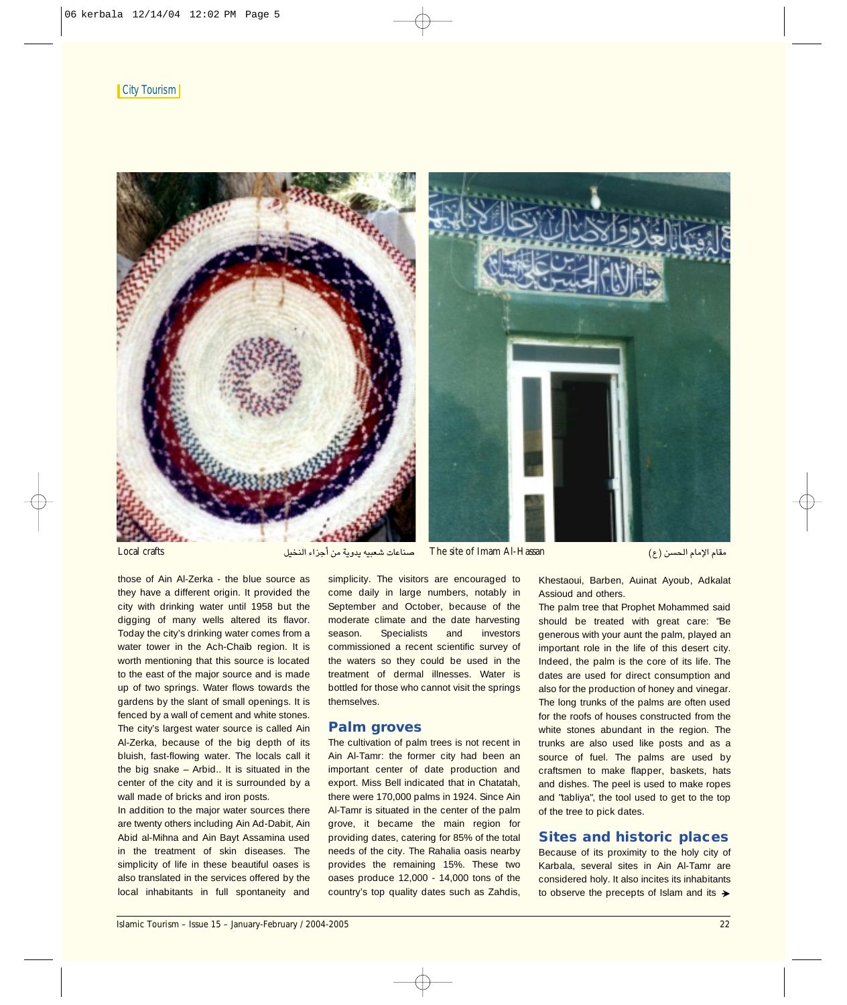#### **City Tourism**



Local crafts π«îædG AGõLCG øe ájhój ¬«Ñ©°T äÉYÉæ°U The site of Imam Al-Hassan (´) ø°ù◊G ΩÉeE'G ΩÉ≤e

those of Ain Al-Zerka - the blue source as they have a different origin. It provided the city with drinking water until 1958 but the digging of many wells altered its flavor. Today the city's drinking water comes from a water tower in the Ach-Chaïb region. It is worth mentioning that this source is located to the east of the major source and is made up of two springs. Water flows towards the gardens by the slant of small openings. It is fenced by a wall of cement and white stones. The city's largest water source is called Ain Al-Zerka, because of the big depth of its bluish, fast-flowing water. The locals call it the big snake – Arbid.. It is situated in the center of the city and it is surrounded by a wall made of bricks and iron posts.

In addition to the major water sources there are twenty others including Ain Ad-Dabit, Ain Abid al-Mihna and Ain Bayt Assamina used in the treatment of skin diseases. The simplicity of life in these beautiful oases is also translated in the services offered by the local inhabitants in full spontaneity and

simplicity. The visitors are encouraged to come daily in large numbers, notably in September and October, because of the moderate climate and the date harvesting season. Specialists and investors commissioned a recent scientific survey of the waters so they could be used in the treatment of dermal illnesses. Water is bottled for those who cannot visit the springs themselves.

# **Palm groves**

The cultivation of palm trees is not recent in Ain Al-Tamr: the former city had been an important center of date production and export. Miss Bell indicated that in Chatatah, there were 170,000 palms in 1924. Since Ain Al-Tamr is situated in the center of the palm grove, it became the main region for providing dates, catering for 85% of the total needs of the city. The Rahalia oasis nearby provides the remaining 15%. These two oases produce 12,000 - 14,000 tons of the country's top quality dates such as Zahdis,

Assioud and others. The palm tree that Prophet Mohammed said should be treated with great care: "Be generous with your aunt the palm, played an important role in the life of this desert city. Indeed, the palm is the core of its life. The

Khestaoui, Barben, Auinat Ayoub, Adkalat

dates are used for direct consumption and also for the production of honey and vinegar. The long trunks of the palms are often used for the roofs of houses constructed from the white stones abundant in the region. The trunks are also used like posts and as a source of fuel. The palms are used by craftsmen to make flapper, baskets, hats and dishes. The peel is used to make ropes and "tabliya", the tool used to get to the top of the tree to pick dates.

#### **Sites and historic places**

Because of its proximity to the holy city of Karbala, several sites in Ain Al-Tamr are considered holy. It also incites its inhabitants to observe the precepts of Islam and its  $\rightarrow$